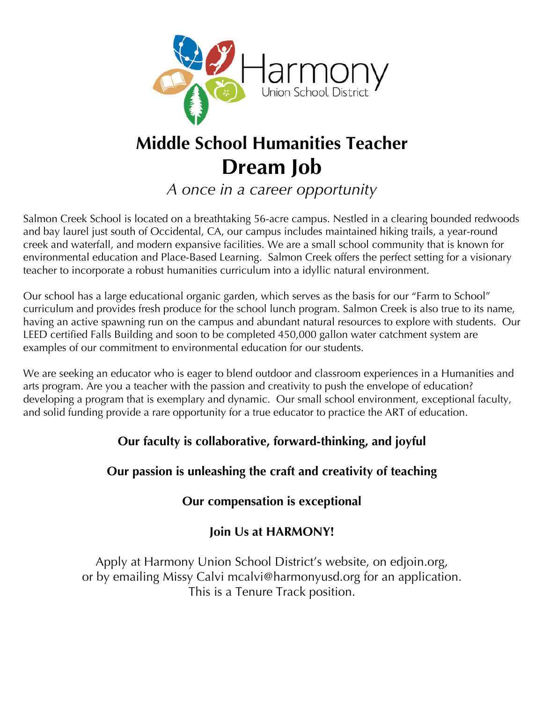

# **Middle School Humanities Teacher Dream Job**

*A once in a career opportunity*

Salmon Creek School is located on a breathtaking 56-acre campus. Nestled in a clearing bounded redwoods and bay laurel just south of Occidental, CA, our campus includes maintained hiking trails, a year-round creek and waterfall, and modern expansive facilities. We are a small school community that is known for environmental education and Place-Based Learning. Salmon Creek offers the perfect setting for a visionary teacher to incorporate a robust humanities curriculum into a idyllic natural environment.

Our school has a large educational organic garden, which serves as the basis for our "Farm to School" curriculum and provides fresh produce for the school lunch program. Salmon Creek is also true to its name, having an active spawning run on the campus and abundant natural resources to explore with students. Our LEED certified Falls Building and soon to be completed 450,000 gallon water catchment system are examples of our commitment to environmental education for our students.

We are seeking an educator who is eager to blend outdoor and classroom experiences in a Humanities and arts program. Are you a teacher with the passion and creativity to push the envelope of education? developing a program that is exemplary and dynamic. Our small school environment, exceptional faculty, and solid funding provide a rare opportunity for a true educator to practice the ART of education.

### **Our faculty is collaborative, forward-thinking, and joyful**

### **Our passion is unleashing the craft and creativity of teaching**

### **Our compensation is exceptional**

### **Join Us at HARMONY!**

Apply at Harmony Union School District's website, on edjoin.org, or by emailing Missy Calvi mcalvi@harmonyusd.org for an application. This is a Tenure Track position.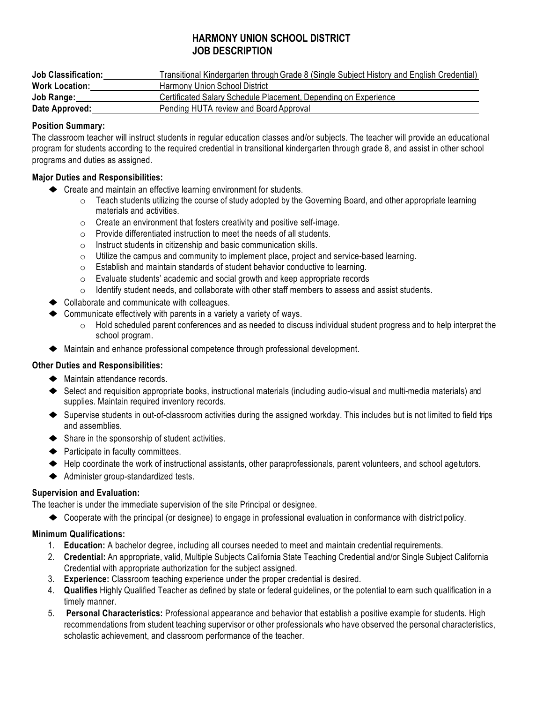#### **HARMONY UNION SCHOOL DISTRICT JOB DESCRIPTION**

| <b>Job Classification:</b> | Transitional Kindergarten through Grade 8 (Single Subject History and English Credential) |
|----------------------------|-------------------------------------------------------------------------------------------|
| <b>Work Location:</b>      | Harmony Union School District                                                             |
| Job Range:                 | Certificated Salary Schedule Placement, Depending on Experience                           |
| Date Approved:             | Pending HUTA review and Board Approval                                                    |

#### **Position Summary:**

The classroom teacher will instruct students in regular education classes and/or subjects. The teacher will provide an educational program for students according to the required credential in transitional kindergarten through grade 8, and assist in other school programs and duties as assigned.

#### **Major Duties and Responsibilities:**

- ◆ Create and maintain an effective learning environment for students.
	- $\circ$  Teach students utilizing the course of study adopted by the Governing Board, and other appropriate learning materials and activities.
	- o Create an environment that fosters creativity and positive self-image.
	- o Provide differentiated instruction to meet the needs of all students.
	- o Instruct students in citizenship and basic communication skills.
	- $\circ$  Utilize the campus and community to implement place, project and service-based learning.
	- o Establish and maintain standards of student behavior conductive to learning.
	- o Evaluate students' academic and social growth and keep appropriate records
	- $\circ$  Identify student needs, and collaborate with other staff members to assess and assist students.
- ◆ Collaborate and communicate with colleagues.
- $\triangle$  Communicate effectively with parents in a variety a variety of ways.
	- $\circ$  Hold scheduled parent conferences and as needed to discuss individual student progress and to help interpret the school program.
- ◆ Maintain and enhance professional competence through professional development.

#### **Other Duties and Responsibilities:**

- ◆ Maintain attendance records.
- ◆ Select and requisition appropriate books, instructional materials (including audio-visual and multi-media materials) and supplies. Maintain required inventory records.
- ◆ Supervise students in out-of-classroom activities during the assigned workday. This includes but is not limited to field trips and assemblies.
- ◆ Share in the sponsorship of student activities.
- ◆ Participate in faculty committees.
- ◆ Help coordinate the work of instructional assistants, other paraprofessionals, parent volunteers, and school agetutors.
- ◆ Administer group-standardized tests.

#### **Supervision and Evaluation:**

The teacher is under the immediate supervision of the site Principal or designee.

◆ Cooperate with the principal (or designee) to engage in professional evaluation in conformance with district policy.

#### **Minimum Qualifications:**

- 1. **Education:** A bachelor degree, including all courses needed to meet and maintain credential requirements.
- 2. **Credential:** An appropriate, valid, Multiple Subjects California State Teaching Credential and/or Single Subject California Credential with appropriate authorization for the subject assigned.
- 3. **Experience:** Classroom teaching experience under the proper credential is desired.
- 4. **Qualifies** Highly Qualified Teacher as defined by state or federal guidelines, or the potential to earn such qualification in a timely manner.
- 5. **Personal Characteristics:** Professional appearance and behavior that establish a positive example for students. High recommendations from student teaching supervisor or other professionals who have observed the personal characteristics, scholastic achievement, and classroom performance of the teacher.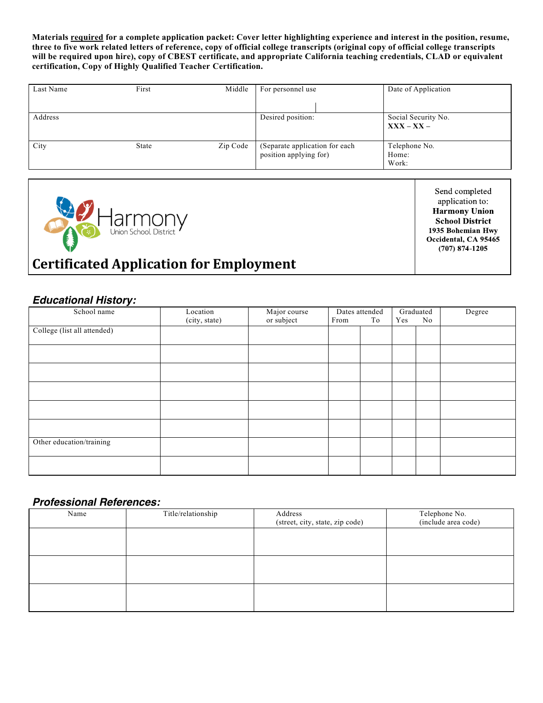**Materials required for a complete application packet: Cover letter highlighting experience and interest in the position, resume, three to five work related letters of reference, copy of official college transcripts (original copy of official college transcripts will be required upon hire), copy of CBEST certificate, and appropriate California teaching credentials, CLAD or equivalent certification, Copy of Highly Qualified Teacher Certification.**

| Last Name | First | Middle   | For personnel use                                        | Date of Application                 |
|-----------|-------|----------|----------------------------------------------------------|-------------------------------------|
| Address   |       |          | Desired position:                                        | Social Security No.<br>$XXX - XX -$ |
| City      | State | Zip Code | (Separate application for each<br>position applying for) | Telephone No.<br>Home:<br>Work:     |



Send completed application to: **Harmony Union School District** 1935 Bohemian Hwy Occidental, CA 95465  $(707)$  874-1205

## **Certificated Application for Employment**

#### *Educational History:*

| School name                 | Location      | Major course | Dates attended |    | Graduated |    | Degree |
|-----------------------------|---------------|--------------|----------------|----|-----------|----|--------|
|                             | (city, state) | or subject   | From           | To | Yes       | No |        |
| College (list all attended) |               |              |                |    |           |    |        |
|                             |               |              |                |    |           |    |        |
|                             |               |              |                |    |           |    |        |
|                             |               |              |                |    |           |    |        |
|                             |               |              |                |    |           |    |        |
|                             |               |              |                |    |           |    |        |
|                             |               |              |                |    |           |    |        |
|                             |               |              |                |    |           |    |        |
|                             |               |              |                |    |           |    |        |
| Other education/training    |               |              |                |    |           |    |        |
|                             |               |              |                |    |           |    |        |

#### *Professional References:*

| Name | Title/relationship | Address<br>(street, city, state, zip code) | Telephone No.<br>(include area code) |
|------|--------------------|--------------------------------------------|--------------------------------------|
|      |                    |                                            |                                      |
|      |                    |                                            |                                      |
|      |                    |                                            |                                      |
|      |                    |                                            |                                      |
|      |                    |                                            |                                      |
|      |                    |                                            |                                      |